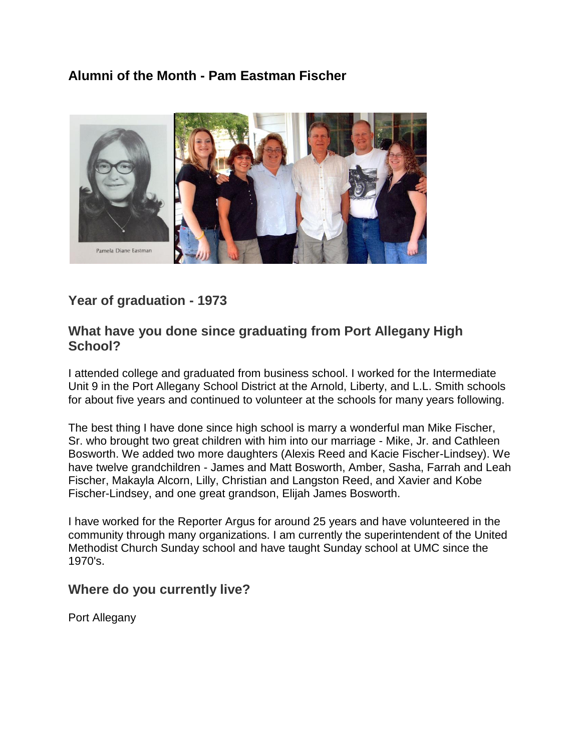## **Alumni of the Month - Pam Eastman Fischer**



## **Year of graduation - 1973**

### **What have you done since graduating from Port Allegany High School?**

I attended college and graduated from business school. I worked for the Intermediate Unit 9 in the Port Allegany School District at the Arnold, Liberty, and L.L. Smith schools for about five years and continued to volunteer at the schools for many years following.

The best thing I have done since high school is marry a wonderful man Mike Fischer, Sr. who brought two great children with him into our marriage - Mike, Jr. and Cathleen Bosworth. We added two more daughters (Alexis Reed and Kacie Fischer-Lindsey). We have twelve grandchildren - James and Matt Bosworth, Amber, Sasha, Farrah and Leah Fischer, Makayla Alcorn, Lilly, Christian and Langston Reed, and Xavier and Kobe Fischer-Lindsey, and one great grandson, Elijah James Bosworth.

I have worked for the Reporter Argus for around 25 years and have volunteered in the community through many organizations. I am currently the superintendent of the United Methodist Church Sunday school and have taught Sunday school at UMC since the 1970's.

### **Where do you currently live?**

Port Allegany